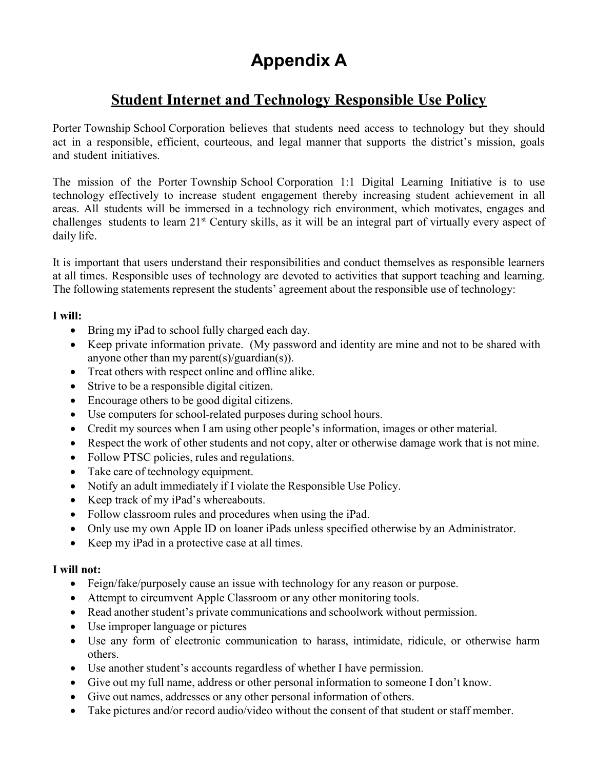# Appendix A

## Student Internet and Technology Responsible Use Policy

Porter Township School Corporation believes that students need access to technology but they should act in a responsible, efficient, courteous, and legal manner that supports the district's mission, goals and student initiatives.

The mission of the Porter Township School Corporation 1:1 Digital Learning Initiative is to use technology effectively to increase student engagement thereby increasing student achievement in all areas. All students will be immersed in a technology rich environment, which motivates, engages and challenges students to learn 21st Century skills, as it will be an integral part of virtually every aspect of daily life.

It is important that users understand their responsibilities and conduct themselves as responsible learners at all times. Responsible uses of technology are devoted to activities that support teaching and learning. The following statements represent the students' agreement about the responsible use of technology:

#### I will:

- Bring my iPad to school fully charged each day.
- Keep private information private. (My password and identity are mine and not to be shared with anyone other than my parent(s)/guardian(s)).
- Treat others with respect online and offline alike.
- Strive to be a responsible digital citizen.
- Encourage others to be good digital citizens.
- Use computers for school-related purposes during school hours.
- Credit my sources when I am using other people's information, images or other material.
- Respect the work of other students and not copy, alter or otherwise damage work that is not mine.
- Follow PTSC policies, rules and regulations.
- Take care of technology equipment.
- Notify an adult immediately if I violate the Responsible Use Policy.
- Keep track of my iPad's whereabouts.
- Follow classroom rules and procedures when using the iPad.
- Only use my own Apple ID on loaner iPads unless specified otherwise by an Administrator.
- Keep my iPad in a protective case at all times.

#### I will not:

- Feign/fake/purposely cause an issue with technology for any reason or purpose.
- Attempt to circumvent Apple Classroom or any other monitoring tools.
- Read another student's private communications and schoolwork without permission.
- Use improper language or pictures
- Use any form of electronic communication to harass, intimidate, ridicule, or otherwise harm others.
- Use another student's accounts regardless of whether I have permission.
- Give out my full name, address or other personal information to someone I don't know.
- Give out names, addresses or any other personal information of others.
- Take pictures and/or record audio/video without the consent of that student or staff member.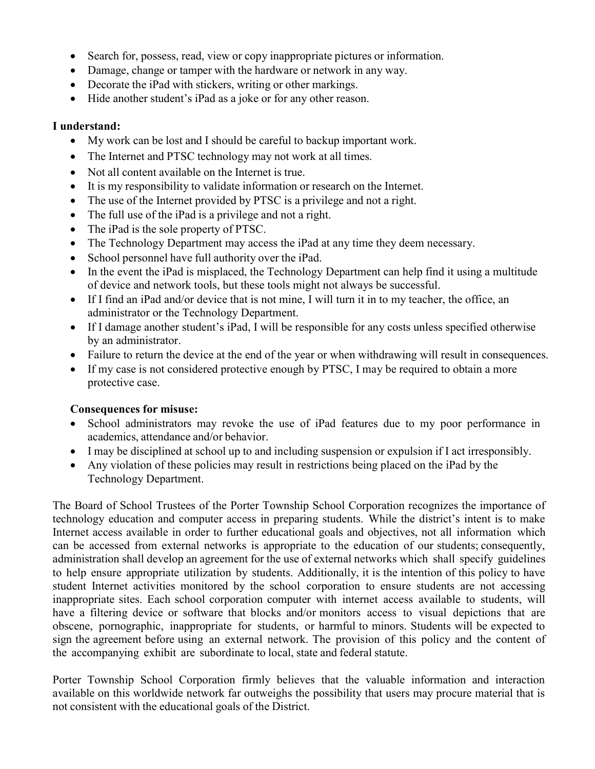- Search for, possess, read, view or copy inappropriate pictures or information.
- Damage, change or tamper with the hardware or network in any way.
- Decorate the iPad with stickers, writing or other markings.
- Hide another student's iPad as a joke or for any other reason.

#### I understand:

- My work can be lost and I should be careful to backup important work.
- The Internet and PTSC technology may not work at all times.
- Not all content available on the Internet is true.
- It is my responsibility to validate information or research on the Internet.
- The use of the Internet provided by PTSC is a privilege and not a right.
- The full use of the iPad is a privilege and not a right.
- The iPad is the sole property of PTSC.
- The Technology Department may access the iPad at any time they deem necessary.
- School personnel have full authority over the iPad.
- In the event the iPad is misplaced, the Technology Department can help find it using a multitude of device and network tools, but these tools might not always be successful.
- If I find an iPad and/or device that is not mine, I will turn it in to my teacher, the office, an administrator or the Technology Department.
- If I damage another student's iPad, I will be responsible for any costs unless specified otherwise by an administrator.
- Failure to return the device at the end of the year or when withdrawing will result in consequences.
- If my case is not considered protective enough by PTSC, I may be required to obtain a more protective case.

#### Consequences for misuse:

- School administrators may revoke the use of iPad features due to my poor performance in academics, attendance and/or behavior.
- I may be disciplined at school up to and including suspension or expulsion if I act irresponsibly.
- Any violation of these policies may result in restrictions being placed on the iPad by the Technology Department.

The Board of School Trustees of the Porter Township School Corporation recognizes the importance of technology education and computer access in preparing students. While the district's intent is to make Internet access available in order to further educational goals and objectives, not all information which can be accessed from external networks is appropriate to the education of our students; consequently, administration shall develop an agreement for the use of external networks which shall specify guidelines to help ensure appropriate utilization by students. Additionally, it is the intention of this policy to have student Internet activities monitored by the school corporation to ensure students are not accessing inappropriate sites. Each school corporation computer with internet access available to students, will have a filtering device or software that blocks and/or monitors access to visual depictions that are obscene, pornographic, inappropriate for students, or harmful to minors. Students will be expected to sign the agreement before using an external network. The provision of this policy and the content of the accompanying exhibit are subordinate to local, state and federal statute.

Porter Township School Corporation firmly believes that the valuable information and interaction available on this worldwide network far outweighs the possibility that users may procure material that is not consistent with the educational goals of the District.